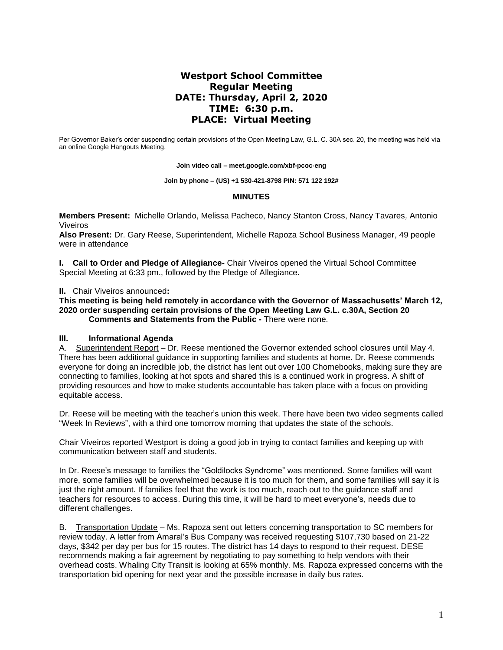# **Westport School Committee Regular Meeting DATE: Thursday, April 2, 2020 TIME: 6:30 p.m. PLACE: Virtual Meeting**

Per Governor Baker's order suspending certain provisions of the Open Meeting Law, G.L. C. 30A sec. 20, the meeting was held via an online Google Hangouts Meeting.

**Join video call – meet.google.com/xbf-pcoc-eng**

**Join by phone – (US) +1 530-421-8798 PIN: 571 122 192#**

#### **MINUTES**

**Members Present:** Michelle Orlando, Melissa Pacheco, Nancy Stanton Cross, Nancy Tavares*,* Antonio Viveiros

**Also Present:** Dr. Gary Reese, Superintendent, Michelle Rapoza School Business Manager, 49 people were in attendance

**I. Call to Order and Pledge of Allegiance-** Chair Viveiros opened the Virtual School Committee Special Meeting at 6:33 pm., followed by the Pledge of Allegiance.

#### **II.** Chair Viveiros announced**:**

**This meeting is being held remotely in accordance with the Governor of Massachusetts' March 12, 2020 order suspending certain provisions of the Open Meeting Law G.L. c.30A, Section 20 Comments and Statements from the Public -** There were none.

#### **III. Informational Agenda**

A. Superintendent Report – Dr. Reese mentioned the Governor extended school closures until May 4. There has been additional guidance in supporting families and students at home. Dr. Reese commends everyone for doing an incredible job, the district has lent out over 100 Chomebooks, making sure they are connecting to families, looking at hot spots and shared this is a continued work in progress. A shift of providing resources and how to make students accountable has taken place with a focus on providing equitable access.

Dr. Reese will be meeting with the teacher's union this week. There have been two video segments called "Week In Reviews", with a third one tomorrow morning that updates the state of the schools.

Chair Viveiros reported Westport is doing a good job in trying to contact families and keeping up with communication between staff and students.

In Dr. Reese's message to families the "Goldilocks Syndrome" was mentioned. Some families will want more, some families will be overwhelmed because it is too much for them, and some families will say it is just the right amount. If families feel that the work is too much, reach out to the guidance staff and teachers for resources to access. During this time, it will be hard to meet everyone's, needs due to different challenges.

B. Transportation Update – Ms. Rapoza sent out letters concerning transportation to SC members for review today. A letter from Amaral's Bus Company was received requesting \$107,730 based on 21-22 days, \$342 per day per bus for 15 routes. The district has 14 days to respond to their request. DESE recommends making a fair agreement by negotiating to pay something to help vendors with their overhead costs. Whaling City Transit is looking at 65% monthly. Ms. Rapoza expressed concerns with the transportation bid opening for next year and the possible increase in daily bus rates.